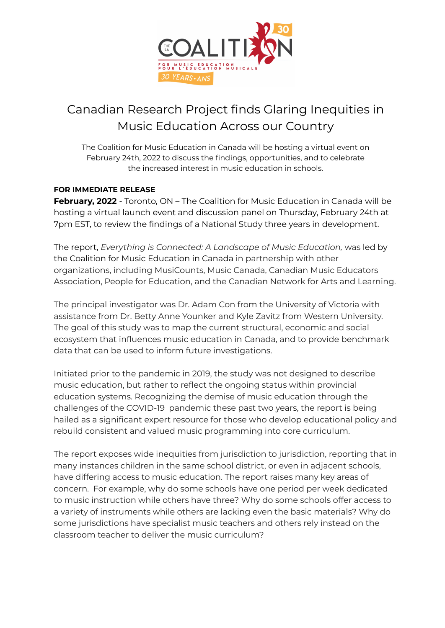

## Canadian Research Project finds Glaring Inequities in Music Education Across our Country

The Coalition for Music Education in Canada will be hosting a virtual event on February 24th, 2022 to discuss the findings, opportunities, and to celebrate the increased interest in music education in schools.

## **FOR IMMEDIATE RELEASE**

**February, 2022** - Toronto, ON – The Coalition for Music Education in Canada will be hosting a virtual launch event and discussion panel on Thursday, February 24th at 7pm EST, to review the findings of a National Study three years in development.

The report, *Everything is Connected: A Landscape of Music Education,* was led by the Coalition for Music Education in Canada in partnership with other organizations, including MusiCounts, Music Canada, Canadian Music Educators Association, People for Education, and the Canadian Network for Arts and Learning.

The principal investigator was Dr. Adam Con from the University of Victoria with assistance from Dr. Betty Anne Younker and Kyle Zavitz from Western University. The goal of this study was to map the current structural, economic and social ecosystem that influences music education in Canada, and to provide benchmark data that can be used to inform future investigations.

Initiated prior to the pandemic in 2019, the study was not designed to describe music education, but rather to reflect the ongoing status within provincial education systems. Recognizing the demise of music education through the challenges of the COVID-19 pandemic these past two years, the report is being hailed as a significant expert resource for those who develop educational policy and rebuild consistent and valued music programming into core curriculum.

The report exposes wide inequities from jurisdiction to jurisdiction, reporting that in many instances children in the same school district, or even in adjacent schools, have differing access to music education. The report raises many key areas of concern. For example, why do some schools have one period per week dedicated to music instruction while others have three? Why do some schools offer access to a variety of instruments while others are lacking even the basic materials? Why do some jurisdictions have specialist music teachers and others rely instead on the classroom teacher to deliver the music curriculum?